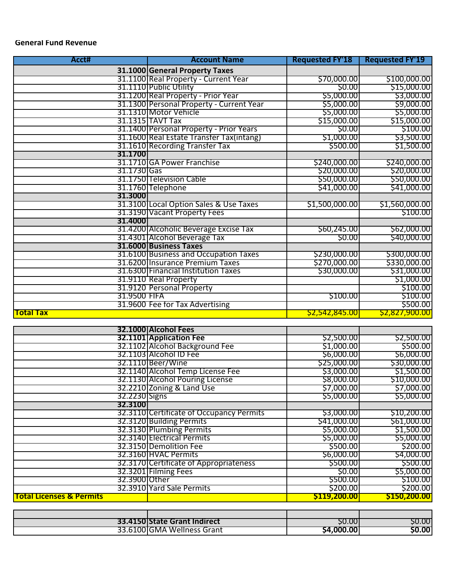# **General Fund Revenue**

| Acct#        | <b>Account Name</b>                      | <b>Requested FY'18</b> | <b>Requested FY'19</b> |
|--------------|------------------------------------------|------------------------|------------------------|
|              | 31.1000 General Property Taxes           |                        |                        |
|              | 31.1100 Real Property - Current Year     | \$70,000.00            | \$100,000.00           |
|              | 31.1110 Public Utility                   | \$0.00                 | \$15,000.00            |
|              | 31.1200 Real Property - Prior Year       | \$5,000.00             | \$3,000.00             |
|              | 31.1300 Personal Property - Current Year | \$5,000.00             | \$9,000.00             |
|              | 31.1310 Motor Vehicle                    | \$5,000.00             | \$5,000.00             |
|              | 31.1315 TAVT Tax                         | \$15,000.00            | \$15,000.00            |
|              | 31.1400 Personal Property - Prior Years  | \$0.00                 | \$100.00               |
|              | 31.1600 Real Estate Transfer Tax(intang) | \$1,000.00             | \$3,500.00             |
|              | 31.1610 Recording Transter Tax           | \$500.00               | \$1,500.00             |
| 31.1700      |                                          |                        |                        |
|              | 31.1710 GA Power Franchise               | \$240,000.00           | <u>\$240,000.00</u>    |
| 31.1730 Gas  |                                          | \$20,000.00            | \$20,000.00            |
|              | 31.1750 Television Cable                 | \$50,000.00            | \$50,000.00            |
|              | 31.1760 Telephone                        | \$41,000.00            | \$41,000.00            |
| 31.3000      |                                          |                        |                        |
|              | 31.3100 Local Option Sales & Use Taxes   | \$1,500,000.00         | \$1,560,000.00         |
|              | 31.3190 Vacant Property Fees             |                        | \$100.00               |
| 31.4000      |                                          |                        |                        |
|              | 31.4200 Alcoholic Beverage Excise Tax    | \$60,245.00            | \$62,000.00            |
|              | 31.4301 Alcohol Beverage Tax             | S0.00                  | \$40,000.00            |
|              | 31.6000 Business Taxes                   |                        |                        |
|              | 31.6100 Business and Occupation Taxes    | \$230,000.00           | \$300,000.00           |
|              | 31.6200 Insurance Premium Taxes          | \$270,000.00           | \$330,000.00           |
|              | 31.6300 Financial Institution Taxes      | \$30,000.00            | \$31,000.00            |
|              | 31.9110 Real Property                    |                        | \$1,000.00             |
|              | 31.9120 Personal Property                |                        | \$100.00               |
| 31.9500 FIFA |                                          | \$100.00               | \$100.00               |
|              | 31.9600 Fee for Tax Advertising          |                        | \$500.00               |
| Total Tax    |                                          | \$2,542,845.00         | \$2,827,900.00         |

|                                     | 32.1000 Alcohol Fees                     |                     |                     |
|-------------------------------------|------------------------------------------|---------------------|---------------------|
|                                     | <b>32.1101 Application Fee</b>           | \$2,500.00          | \$2,500.00          |
|                                     | 32.1102 Alcohol Background Fee           | \$1,000.00          | \$500.00            |
|                                     | 32.1103 Alcohol ID Fee                   | \$6,000.00          | \$6,000.00          |
|                                     | 32.1110 Beer/Wine                        | \$25,000.00         | \$30,000.00         |
|                                     | 32.1140 Alcohol Temp License Fee         | \$3,000.00          | \$1,500.00          |
|                                     | 32.1130 Alcohol Pouring License          | \$8,000.00          | \$10,000.00         |
|                                     | 32.2210 Zoning & Land Use                | \$7,000.00          | \$7,000.00          |
| 32.2230 Signs                       |                                          | \$5,000.00          | \$5,000.00          |
| 32.3100                             |                                          |                     |                     |
|                                     | 32.3110 Certificate of Occupancy Permits | \$3,000.00          | \$10,200.00         |
|                                     | 32.3120 Building Permits                 | \$41,000.00         | \$61,000.00         |
|                                     | 32.3130 Plumbing Permits                 | \$5,000.00          | \$1,500.00          |
|                                     | 32.3140 Electrical Permits               | \$5,000.00          | \$5,000.00          |
|                                     | 32.3150 Demolition Fee                   | \$500.00            | \$200.00            |
|                                     | 32.3160 HVAC Permits                     | \$6,000.00          | \$4,000.00          |
|                                     | 32.3170 Certificate of Appropriateness   | \$500.00            | \$500.00            |
|                                     | 32.3201 Filming Fees                     | \$0.00              | \$5,000.00          |
| 32.3900 Other                       |                                          | \$500.00            | \$100.00            |
|                                     | 32.3910 Yard Sale Permits                | \$200.00            | \$200.00            |
| <b>Total Licenses &amp; Permits</b> |                                          | <b>\$119,200.00</b> | <b>\$150,200.00</b> |

| 33.4150 State Grant Indirect | S0.00            | S0.00 |
|------------------------------|------------------|-------|
| 33.6100IGMA Wellness Grant   | <b>S4,000.00</b> | 50.00 |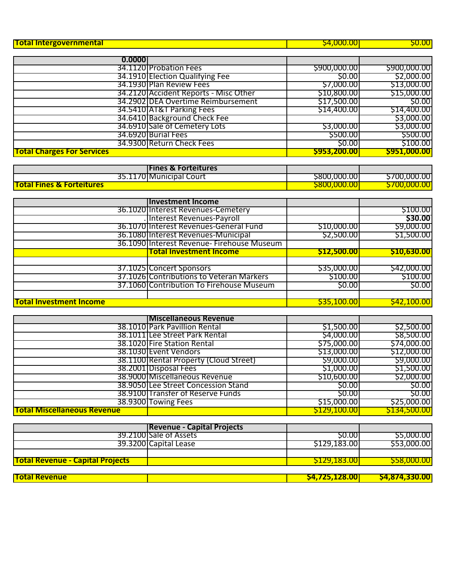| <b>Total Intergovernmental</b>    |                                       | <b>\$4,000.00</b> | <b>\$0.00</b> |
|-----------------------------------|---------------------------------------|-------------------|---------------|
|                                   |                                       |                   |               |
| 0.0000                            |                                       |                   |               |
|                                   | 34.1120 Probation Fees                | \$900,000.00      | \$900,000.00  |
|                                   | 34.1910 Election Qualifying Fee       | \$0.00            | \$2,000.00    |
|                                   | 34.1930 Plan Review Fees              | \$7,000.00        | \$13,000.00   |
|                                   | 34.2120 Accident Reports - Misc Other | \$10,800.00       | \$15,000.00   |
|                                   | 34.2902 DEA Overtime Reimbursement    | \$17,500.00       | \$0.00        |
|                                   | 34.5410 AT&T Parking Fees             | \$14,400.00       | \$14,400.00   |
|                                   | 34.6410 Background Check Fee          |                   | \$3,000.00    |
|                                   | 34.6910 Sale of Cemetery Lots         | \$3,000.00        | \$3,000.00    |
|                                   | 34.6920 Burial Fees                   | \$500.00          | \$500.00      |
|                                   | 34.9300 Return Check Fees             | S0.00             | \$100.00      |
| <b>Total Charges For Services</b> |                                       | \$953,200.00      | \$951,000.00  |

|                                      | <b>Fines &amp; Forteitures</b> |                     |              |
|--------------------------------------|--------------------------------|---------------------|--------------|
|                                      | 35.1170 Municipal Court        | S800,000.001        | \$700,000.00 |
| <b>Total Fines &amp; Forteitures</b> |                                | <b>S800.000.00.</b> | 5700.000.00  |

|                                | <b>Investment Income</b>                   |                    |                    |
|--------------------------------|--------------------------------------------|--------------------|--------------------|
|                                | 36.1020 Interest Revenues-Cemetery         |                    | \$100.00           |
|                                | . Interest Revenues-Payroll                |                    | \$30.00            |
|                                | 36.1070 Interest Revenues-General Fund     | \$10,000.00        | \$9,000.00         |
|                                | 36.1080 Interest Revenues-Municipal        | \$2,500.00         | \$1,500.00         |
|                                | 36.1090 Interest Revenue- Firehouse Museum |                    |                    |
|                                | <b>Total Investment Income</b>             | \$12,500.00        | <b>\$10,630.00</b> |
|                                |                                            |                    |                    |
|                                | 37.1025 Concert Sponsors                   | \$35,000.00        | \$42,000.00        |
|                                | 37.1026 Contributions to Veteran Markers   | \$100.00           | \$100.00           |
|                                | 37.1060 Contribution To Firehouse Museum   | <b>\$0.00</b>      | \$0.00             |
|                                |                                            |                    |                    |
| <b>Total Investment Income</b> |                                            | <u>\$35,100.00</u> | \$42,100.00        |

|                                    | <b>Miscellaneous Revenue</b>           |                     |              |
|------------------------------------|----------------------------------------|---------------------|--------------|
|                                    | 38.1010 Park Pavillion Rental          | \$1,500.00          | \$2,500.00   |
|                                    | 38.1011 Lee Street Park Rental         | \$4,000.00          | \$8,500.00   |
|                                    | 38.1020 Fire Station Rental            | \$75,000.00         | \$74,000.00  |
|                                    | 38.1030 Event Vendors                  | \$13,000.00         | \$12,000.00  |
|                                    | 38.1100 Rental Property (Cloud Street) | \$9,000.00          | \$9,000.00   |
|                                    | 38.2001 Disposal Fees                  | \$1,000.00          | \$1,500.00   |
|                                    | 38.9000 Miscellaneous Revenue          | \$10,600.00         | \$2,000.00   |
|                                    | 38.9050 Lee Street Concession Stand    | <b>SO.OO</b>        | \$0.00       |
|                                    | 38.9100 Transfer of Reserve Funds      | \$0.00              | \$0.00       |
|                                    | 38.9300 Towing Fees                    | \$15,000.00         | \$25,000.00  |
| <b>Total Miscellaneous Revenue</b> |                                        | <u>\$129,100.00</u> | \$134,500.00 |

|                                         | <b>Revenue - Capital Projects</b> |                       |                    |
|-----------------------------------------|-----------------------------------|-----------------------|--------------------|
|                                         | 39.2100 Sale of Assets            | S0.00                 | \$5,000.00         |
|                                         | 39.3200 Capital Lease             | \$129,183.00          | \$53,000.00        |
|                                         |                                   |                       |                    |
| <b>Total Revenue - Capital Projects</b> |                                   | <b>S129.183.00L</b>   | <b>S58,000.001</b> |
| <b>Total Revenue</b>                    |                                   | <b>\$4,725,128.00</b> | \$4,874,330.00     |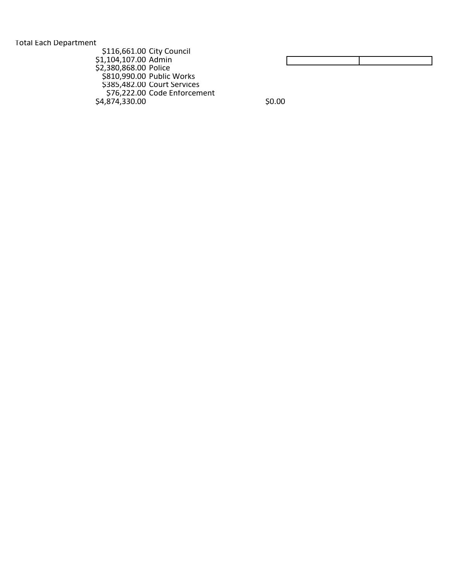Total Each Department

| \$116,661.00 City Council |                              |       |
|---------------------------|------------------------------|-------|
| \$1,104,107.00 Admin      |                              |       |
| \$2,380,868.00 Police     |                              |       |
|                           | \$810,990.00 Public Works    |       |
|                           | \$385,482.00 Court Services  |       |
|                           | \$76,222.00 Code Enforcement |       |
| S4,874,330.00             |                              | S0.00 |
|                           |                              |       |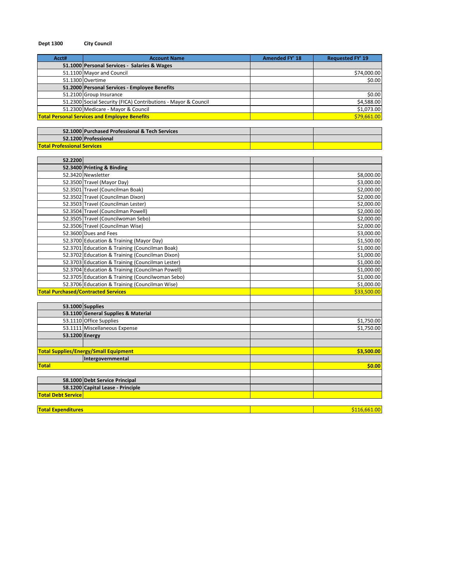| Acct#                              | <b>Account Name</b>                                            | <b>Amended FY' 18</b> | <b>Requested FY' 19</b> |
|------------------------------------|----------------------------------------------------------------|-----------------------|-------------------------|
|                                    | 51.1000 Personal Services - Salaries & Wages                   |                       |                         |
|                                    | 51.1100 Mayor and Council                                      |                       | \$74,000.00             |
|                                    | 51.1300 Overtime                                               |                       | \$0.00                  |
|                                    | 51.2000 Personal Services - Employee Benefits                  |                       |                         |
|                                    | 51.2100 Group Insurance                                        |                       | \$0.00                  |
|                                    | 51.2300 Social Security (FICA) Contributions - Mayor & Council |                       | \$4,588.00              |
|                                    | 51.2300 Medicare - Mayor & Council                             |                       | \$1,073.00              |
|                                    | <b>Total Personal Services and Employee Benefits</b>           |                       | \$79,661.00             |
|                                    |                                                                |                       |                         |
|                                    | 52.1000 Purchased Professional & Tech Services                 |                       |                         |
|                                    | 52.1200 Professional                                           |                       |                         |
| <b>Total Professional Services</b> |                                                                |                       |                         |
|                                    |                                                                |                       |                         |
| 52.2200                            |                                                                |                       |                         |
|                                    | 52.3400 Printing & Binding                                     |                       |                         |
|                                    | 52.3420 Newsletter                                             |                       | \$8,000.00              |
|                                    | 52.3500 Travel (Mayor Day)                                     |                       | \$3,000.00              |
|                                    | 52.3501 Travel (Councilman Boak)                               |                       | \$2,000.00              |
|                                    | 52.3502 Travel (Councilman Dixon)                              |                       | \$2,000.00              |
|                                    | 52.3503 Travel (Councilman Lester)                             |                       | \$2,000.00              |
|                                    | 52.3504 Travel (Councilman Powell)                             |                       | \$2,000.00              |
|                                    | 52.3505 Travel (Councilwoman Sebo)                             |                       | \$2,000.00              |
|                                    | 52.3506 Travel (Councilman Wise)                               |                       | \$2,000.00              |
|                                    | 52.3600 Dues and Fees                                          |                       | \$3,000.00              |
|                                    | 52.3700 Education & Training (Mayor Day)                       |                       | \$1,500.00              |
|                                    | 52.3701 Education & Training (Councilman Boak)                 |                       | \$1,000.00              |
|                                    | 52.3702 Education & Training (Councilman Dixon)                |                       | \$1,000.00              |
|                                    | 52.3703 Education & Training (Councilman Lester)               |                       | \$1,000.00              |
|                                    | 52.3704 Education & Training (Councilman Powell)               |                       | \$1,000.00              |
|                                    | 52.3705 Education & Training (Councilwoman Sebo)               |                       | \$1,000.00              |
|                                    | 52.3706 Education & Training (Councilman Wise)                 |                       | \$1,000.00              |
|                                    | <b>Total Purchased/Contracted Services</b>                     |                       | \$33,500.00             |
|                                    |                                                                |                       |                         |
|                                    | 53.1000 Supplies                                               |                       |                         |
|                                    | 53.1100 General Supplies & Material                            |                       |                         |
|                                    | 53.1110 Office Supplies                                        |                       | \$1,750.00              |
|                                    | 53.1111 Miscellaneous Expense                                  |                       | \$1,750.00              |
|                                    | 53.1200 Energy                                                 |                       |                         |
|                                    |                                                                |                       |                         |
|                                    | <b>Total Supplies/Energy/Small Equipment</b>                   |                       | \$3,500.00              |
|                                    | Intergovernmental                                              |                       |                         |
| <b>Total</b>                       |                                                                |                       | \$0.00                  |
|                                    |                                                                |                       |                         |
|                                    |                                                                |                       |                         |

**Total Expenditures** \$116,661.00

#### **Dept 1300 City Council**

**58.1200 Capital Lease - Principle**

**Total Debt Service**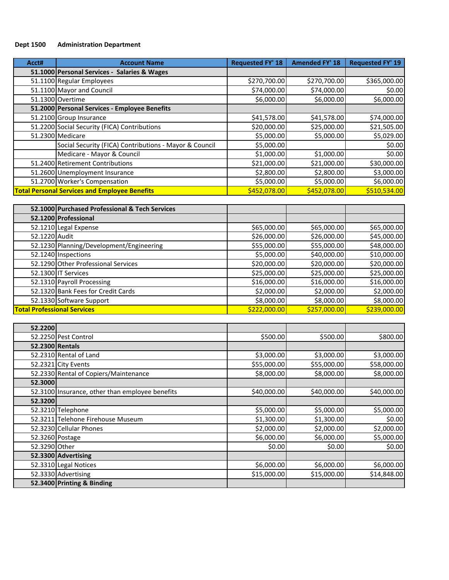## **Dept 1500 Administration Department**

| Acct# | <b>Account Name</b>                                    | <b>Requested FY' 18</b> | <b>Amended FY' 18</b> | <b>Requested FY' 19</b> |
|-------|--------------------------------------------------------|-------------------------|-----------------------|-------------------------|
|       | 51.1000 Personal Services - Salaries & Wages           |                         |                       |                         |
|       | 51.1100 Regular Employees                              | \$270,700.00            | \$270,700.00          | \$365,000.00            |
|       | 51.1100 Mayor and Council                              | \$74,000.00             | \$74,000.00           | \$0.00                  |
|       | 51.1300 Overtime                                       | \$6,000.00              | \$6,000.00            | \$6,000.00              |
|       | 51.2000 Personal Services - Employee Benefits          |                         |                       |                         |
|       | 51.2100 Group Insurance                                | \$41,578.00             | \$41,578.00           | \$74,000.00             |
|       | 51.2200 Social Security (FICA) Contributions           | \$20,000.00             | \$25,000.00           | \$21,505.00             |
|       | 51.2300 Medicare                                       | \$5,000.00              | \$5,000.00            | \$5,029.00              |
|       | Social Security (FICA) Contributions - Mayor & Council | \$5,000.00              |                       | \$0.00                  |
|       | Medicare - Mayor & Council                             | \$1,000.00              | \$1,000.00            | \$0.00                  |
|       | 51.2400 Retirement Contributions                       | \$21,000.00             | \$21,000.00           | \$30,000.00             |
|       | 51.2600 Unemployment Insurance                         | \$2,800.00              | \$2,800.00            | \$3,000.00              |
|       | 51.2700 Worker's Compensation                          | \$5,000.00              | \$5,000.00            | \$6,000.00              |
|       | <b>Total Personal Services and Employee Benefits</b>   | \$452,078.00            | \$452,078.00          | \$510,534.00            |

|                                    | 52.1000 Purchased Professional & Tech Services |              |              |              |
|------------------------------------|------------------------------------------------|--------------|--------------|--------------|
|                                    | 52.1200 Professional                           |              |              |              |
|                                    | 52.1210 Legal Expense                          | \$65,000.00  | \$65,000.00  | \$65,000.00  |
| 52.1220 Audit                      |                                                | \$26,000.00  | \$26,000.00  | \$45,000.00  |
|                                    | 52.1230 Planning/Development/Engineering       | \$55,000.00  | \$55,000.00  | \$48,000.00  |
|                                    | 52.1240 Inspections                            | \$5,000.00   | \$40,000.00  | \$10,000.00  |
|                                    | 52.1290 Other Professional Services            | \$20,000.00  | \$20,000.00  | \$20,000.00  |
|                                    | 52.1300 IT Services                            | \$25,000.00  | \$25,000.00  | \$25,000.00  |
|                                    | 52.1310 Payroll Processing                     | \$16,000.00  | \$16,000.00  | \$16,000.00  |
|                                    | 52.1320 Bank Fees for Credit Cards             | \$2,000.00   | \$2,000.00   | \$2,000.00   |
|                                    | 52.1330 Software Support                       | \$8,000.00   | \$8,000.00   | \$8,000.00   |
| <b>Total Professional Services</b> |                                                | \$222,000.00 | \$257,000.00 | \$239,000.00 |

| 52.2200         |                                                 |             |             |             |
|-----------------|-------------------------------------------------|-------------|-------------|-------------|
|                 | 52.2250 Pest Control                            | \$500.00    | \$500.00    | \$800.00    |
| 52.2300 Rentals |                                                 |             |             |             |
|                 | 52.2310 Rental of Land                          | \$3,000.00  | \$3,000.00  | \$3,000.00  |
|                 | 52.2321 City Events                             | \$55,000.00 | \$55,000.00 | \$58,000.00 |
|                 | 52.2330 Rental of Copiers/Maintenance           | \$8,000.00  | \$8,000.00  | \$8,000.00  |
| 52.3000         |                                                 |             |             |             |
|                 | 52.3100 Insurance, other than employee benefits | \$40,000.00 | \$40,000.00 | \$40,000.00 |
| 52.3200         |                                                 |             |             |             |
|                 | 52.3210 Telephone                               | \$5,000.00  | \$5,000.00  | \$5,000.00  |
|                 | 52.3211 Telehone Firehouse Museum               | \$1,300.00  | \$1,300.00  | \$0.00      |
|                 | 52.3230 Cellular Phones                         | \$2,000.00  | \$2,000.00  | \$2,000.00  |
|                 | 52.3260 Postage                                 | \$6,000.00  | \$6,000.00  | \$5,000.00  |
| 52.3290 Other   |                                                 | \$0.00      | \$0.00      | \$0.00      |
|                 | 52.3300 Advertising                             |             |             |             |
|                 | 52.3310 Legal Notices                           | \$6,000.00  | \$6,000.00  | \$6,000.00  |
|                 | 52.3330 Advertising                             | \$15,000.00 | \$15,000.00 | \$14,848.00 |
|                 | 52.3400 Printing & Binding                      |             |             |             |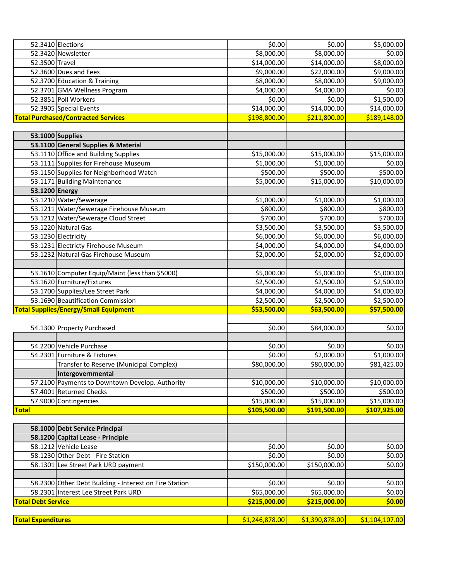|                           | 52.3410 Elections                                      | \$0.00                 | \$0.00         | \$5,000.00     |
|---------------------------|--------------------------------------------------------|------------------------|----------------|----------------|
|                           | 52.3420 Newsletter                                     | \$8,000.00             | \$8,000.00     | \$0.00         |
| 52.3500 Travel            |                                                        | \$14,000.00            | \$14,000.00    | \$8,000.00     |
|                           | 52.3600 Dues and Fees                                  | \$9,000.00             | \$22,000.00    | \$9,000.00     |
|                           | 52.3700 Education & Training                           | \$8,000.00             | \$8,000.00     | \$9,000.00     |
|                           | 52.3701 GMA Wellness Program                           | \$4,000.00             | \$4,000.00     | \$0.00         |
|                           | 52.3851 Poll Workers                                   | \$0.00                 | \$0.00         | \$1,500.00     |
|                           | 52.3905 Special Events                                 | \$14,000.00            | \$14,000.00    | \$14,000.00    |
|                           | <b>Total Purchased/Contracted Services</b>             | \$198,800.00           | \$211,800.00   | \$189,148.00   |
|                           |                                                        |                        |                |                |
|                           | 53.1000 Supplies                                       |                        |                |                |
|                           | 53.1100 General Supplies & Material                    |                        |                |                |
|                           | 53.1110 Office and Building Supplies                   | \$15,000.00            | \$15,000.00    | \$15,000.00    |
|                           | 53.1111 Supplies for Firehouse Museum                  | \$1,000.00             | \$1,000.00     | \$0.00         |
|                           | 53.1150 Supplies for Neighborhood Watch                | \$500.00               | \$500.00       | \$500.00       |
|                           | 53.1171 Building Maintenance                           | \$5,000.00             | \$15,000.00    | \$10,000.00    |
| 53.1200 Energy            |                                                        |                        |                |                |
|                           | 53.1210 Water/Sewerage                                 |                        |                |                |
|                           |                                                        | \$1,000.00             | \$1,000.00     | \$1,000.00     |
|                           | 53.1211 Water/Sewerage Firehouse Museum                | \$800.00               | \$800.00       | \$800.00       |
|                           | 53.1212 Water/Sewerage Cloud Street                    | \$700.00               | \$700.00       | \$700.00       |
|                           | 53.1220 Natural Gas                                    | \$3,500.00             | \$3,500.00     | \$3,500.00     |
|                           | 53.1230 Electricity                                    | \$6,000.00             | \$6,000.00     | \$6,000.00     |
|                           | 53.1231 Electricty Firehouse Museum                    | \$4,000.00             | \$4,000.00     | \$4,000.00     |
|                           | 53.1232 Natural Gas Firehouse Museum                   | \$2,000.00             | \$2,000.00     | \$2,000.00     |
|                           |                                                        |                        |                |                |
|                           | 53.1610 Computer Equip/Maint (less than \$5000)        | \$5,000.00             | \$5,000.00     | \$5,000.00     |
|                           | 53.1620 Furniture/Fixtures                             | \$2,500.00             | \$2,500.00     | \$2,500.00     |
|                           | 53.1700 Supplies/Lee Street Park                       | \$4,000.00             | \$4,000.00     | \$4,000.00     |
|                           | 53.1690 Beautification Commission                      | \$2,500.00             | \$2,500.00     | \$2,500.00     |
|                           | <b>Total Supplies/Energy/Small Equipment</b>           | \$53,500.00            | \$63,500.00    | \$57,500.00    |
|                           |                                                        |                        |                |                |
|                           | 54.1300 Property Purchased                             | \$0.00                 | \$84,000.00    | \$0.00         |
|                           |                                                        |                        |                |                |
|                           | 54.2200 Vehicle Purchase                               | \$0.00                 | \$0.00         | \$0.00         |
|                           | 54.2301 Furniture & Fixtures                           | \$0.00                 | \$2,000.00     | \$1,000.00     |
|                           | Transfer to Reserve (Municipal Complex)                | $\frac{1}{280,000.00}$ | \$80,000.00    | \$81,425.00    |
|                           | Intergovernmental                                      |                        |                |                |
|                           | 57.2100 Payments to Downtown Develop. Authority        | \$10,000.00            | \$10,000.00    | \$10,000.00    |
|                           | 57.4001 Returned Checks                                | \$500.00               | \$500.00       | \$500.00       |
|                           | 57.9000 Contingencies                                  | \$15,000.00            | \$15,000.00    | \$15,000.00    |
| <b>Total</b>              |                                                        | \$105,500.00           | \$191,500.00   | \$107,925.00   |
|                           |                                                        |                        |                |                |
|                           | 58.1000 Debt Service Principal                         |                        |                |                |
|                           | 58.1200 Capital Lease - Principle                      |                        |                |                |
|                           | 58.1212 Vehicle Lease                                  | \$0.00                 | \$0.00         | \$0.00         |
|                           | 58.1230 Other Debt - Fire Station                      | \$0.00                 | \$0.00         | \$0.00         |
|                           | 58.1301 Lee Street Park URD payment                    | \$150,000.00           | \$150,000.00   | \$0.00         |
|                           |                                                        |                        |                |                |
|                           | 58.2300 Other Debt Building - Interest on Fire Station | \$0.00                 | \$0.00         | \$0.00         |
|                           | 58.2301 Interest Lee Street Park URD                   | \$65,000.00            | \$65,000.00    | \$0.00         |
| <b>Total Debt Service</b> |                                                        | \$215,000.00           | \$215,000.00   | \$0.00         |
|                           |                                                        |                        |                |                |
| <b>Total Expenditures</b> |                                                        | \$1,246,878.00         | \$1,390,878.00 | \$1,104,107.00 |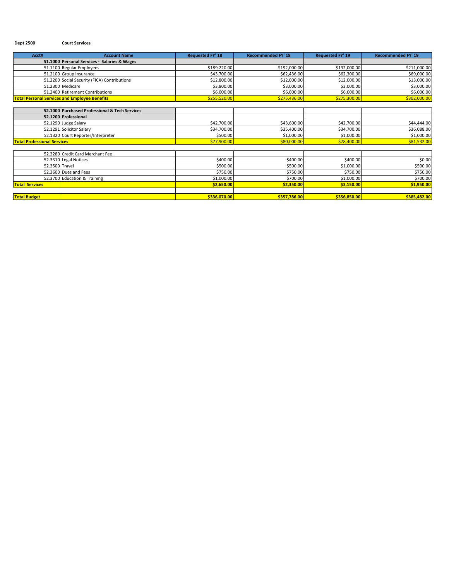#### **Dept 2500 Court Services**

| Acct#                              | <b>Account Name</b>                                  | <b>Requested FY' 18</b> | <b>Recommended FY' 18</b> | <b>Requested FY' 19</b> | <b>Recommended FY' 19</b> |
|------------------------------------|------------------------------------------------------|-------------------------|---------------------------|-------------------------|---------------------------|
|                                    | 51.1000 Personal Services - Salaries & Wages         |                         |                           |                         |                           |
|                                    | 51.1100 Regular Employees                            | \$189,220.00            | \$192,000.00              | \$192,000.00            | \$211,000.00              |
|                                    | 51.2100 Group Insurance                              | \$43,700.00             | \$62,436.00               | \$62,300.00             | \$69,000.00               |
|                                    | 51.2200 Social Security (FICA) Contributions         | \$12,800.00             | \$12,000.00               | \$12,000.00             | \$13,000.00               |
|                                    | 51.2300 Medicare                                     | \$3,800.00              | \$3,000.00                | \$3,000.00              | \$3,000.00                |
|                                    | 51.2400 Retirement Contributions                     | \$6,000.00              | \$6,000.00                | \$6,000.00              | \$6,000.00                |
|                                    | <b>Total Personal Services and Employee Benefits</b> | \$255,520.00            | \$275,436.00              | \$275,300.00            | \$302,000.00              |
|                                    |                                                      |                         |                           |                         |                           |
|                                    | 52.1000 Purchased Professional & Tech Services       |                         |                           |                         |                           |
|                                    | 52.1200 Professional                                 |                         |                           |                         |                           |
|                                    | 52.1290 Judge Salary                                 | \$42,700.00             | \$43,600.00               | \$42,700.00             | \$44,444.00               |
|                                    | 52.1291 Solicitor Salary                             | \$34,700.00             | \$35,400.00               | \$34,700.00             | \$36,088.00               |
|                                    | 52.1320 Court Reporter/Interpreter                   | \$500.00                | \$1,000.00                | \$1,000.00              | \$1,000.00                |
| <b>Total Professional Services</b> |                                                      | \$77,900.00             | \$80,000.00               | \$78,400.00             | \$81,532.00               |
|                                    |                                                      |                         |                           |                         |                           |
|                                    | 52.3280 Credit Card Merchant Fee                     |                         |                           |                         |                           |
|                                    | 52.3310 Legal Notices                                | \$400.00                | \$400.00                  | \$400.00                | \$0.00                    |
| 52.3500 Travel                     |                                                      | \$500.00                | \$500.00                  | \$1,000.00              | \$500.00                  |
|                                    | 52.3600 Dues and Fees                                | \$750.00                | \$750.00                  | \$750.00                | \$750.00                  |
|                                    | 52.3700 Education & Training                         | \$1,000.00              | \$700.00                  | \$1,000.00              | \$700.00                  |
| <b>Total Services</b>              |                                                      | \$2,650.00              | \$2,350.00                | \$3,150.00              | \$1,950.00                |
|                                    |                                                      |                         |                           |                         |                           |
| <b>Total Budget</b>                |                                                      | \$336,070.00            | \$357,786.00              | \$356,850.00            | \$385,482.00              |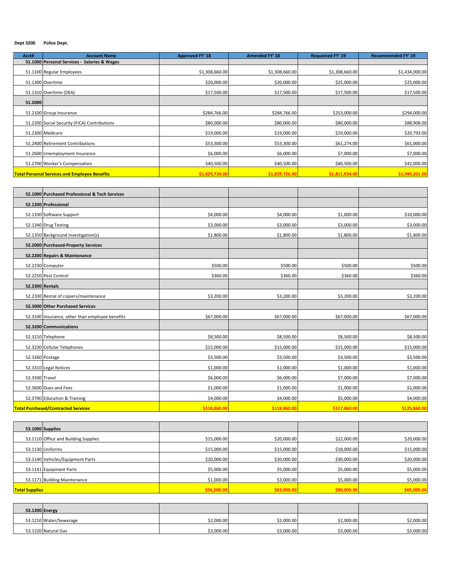#### **Dept 3200 Police Dept.**

| Acct#   | <b>Account Name</b>                                  | <b>Approved FY' 18</b> | <b>Amended FY' 18</b> | <b>Requested FY' 19</b> | <b>Recommended FY' 19</b> |
|---------|------------------------------------------------------|------------------------|-----------------------|-------------------------|---------------------------|
|         | 51.1000 Personal Services - Salaries & Wages         |                        |                       |                         |                           |
|         | 51.1100 Regular Employees                            | \$1,308,660.00         | \$1,308,660.00        | \$1,308,660.00          | \$1,434,000.00            |
|         | 51.1300 Overtime                                     | \$20,000.00            | \$20,000.00           | \$25,000.00             | \$25,000.00               |
|         | 51.1310 Overtime (DEA)                               | \$17,500.00            | \$17,500.00           | \$17,500.00             | \$17,500.00               |
| 51.2000 |                                                      |                        |                       |                         |                           |
|         | 51.2100 Group Insurance                              | \$284,766.00           | \$284,766.00          | \$253,000.00            | \$294,000.00              |
|         | 51.2200 Social Security (FICA) Contributions         | \$80,000.00            | \$80,000.00           | \$80,000.00             | \$88,908.00               |
|         | 51.2300 Medicare                                     | \$19,000.00            | \$19,000.00           | \$19,000.00             | \$20,793.00               |
|         | 51.2400 Retirement Contributions                     | \$53,300.00            | \$53,300.00           | \$61,274.00             | \$61,000.00               |
|         | 51.2600 Unemployment Insurance                       | \$6,000.00             | \$6,000.00            | \$7,000.00              | \$7,000.00                |
|         | 51.2700 Worker's Compensation                        | \$40,500.00            | \$40,500.00           | \$40,500.00             | \$42,000.00               |
|         | <b>Total Personal Services and Employee Benefits</b> | \$1,829,726.00         | \$1,829,726.00        | \$1,811,934.00          | \$1,990,201.00            |

|                | 52.1000 Purchased Professional & Tech Services  |              |              |              |              |
|----------------|-------------------------------------------------|--------------|--------------|--------------|--------------|
|                | 52.1200 Professional                            |              |              |              |              |
|                | 52.1330 Software Support                        | \$4,000.00   | \$4,000.00   | \$1,000.00   | \$10,000.00  |
|                | 52.1340 Drug Testing                            | \$3,000.00   | \$3,000.00   | \$3,000.00   | \$3,000.00   |
|                | 52.1350 Background Investigation(s)             | \$1,800.00   | \$1,800.00   | \$1,800.00   | \$1,800.00   |
|                | 52.2000 Purchased-Property Services             |              |              |              |              |
|                | 52.2200 Repairs & Maintenance                   |              |              |              |              |
|                | 52.2230 Computer                                | \$500.00     | \$500.00     | \$500.00     | \$500.00     |
|                | 52.2250 Pest Control                            | \$360.00     | \$360.00     | \$360.00     | \$360.00     |
|                | 52.2300 Rentals                                 |              |              |              |              |
|                | 52.2330 Rental of copiers/maintenance           | \$3,200.00   | \$3,200.00   | \$3,200.00   | \$3,200.00   |
|                | 52.3000 Other Purchased Services                |              |              |              |              |
|                | 52.3100 Insurance, other than employee benefits | \$67,000.00  | \$67,000.00  | \$67,000.00  | \$67,000.00  |
|                | 52.3200 Communications                          |              |              |              |              |
|                | 52.3210 Telephone                               | \$8,500.00   | \$8,500.00   | \$8,500.00   | \$8,500.00   |
|                | 52.3230 Cellular Telephones                     | \$15,000.00  | \$15,000.00  | \$15,000.00  | \$15,000.00  |
|                | 52.3260 Postage                                 | \$3,500.00   | \$3,500.00   | \$3,500.00   | \$3,500.00   |
|                | 52.3310 Legal Notices                           | \$1,000.00   | \$1,000.00   | \$1,000.00   | \$1,000.00   |
| 52.3500 Travel |                                                 | \$6,000.00   | \$6,000.00   | \$7,000.00   | \$7,000.00   |
|                | 52.3600 Dues and Fees                           | \$1,000.00   | \$1,000.00   | \$1,000.00   | \$1,000.00   |
|                | 52.3700 Education & Training                    | \$4,000.00   | \$4,000.00   | \$5,000.00   | \$4,000.00   |
|                | <b>Total Purchased/Contracted Services</b>      | \$118,860.00 | \$118,860.00 | \$117,860.00 | \$125,860.00 |

|                       | 53.1000 Supplies                     |             |             |             |             |
|-----------------------|--------------------------------------|-------------|-------------|-------------|-------------|
|                       | 53.1110 Office and Building Supplies | \$15,000.00 | \$20,000.00 | \$22,000.00 | \$20,000.00 |
|                       | 53.1130 Uniforms                     | \$15,000.00 | \$15,000.00 | \$18,000.00 | \$15,000.00 |
|                       | 53.1140 Vehicles/Equipment Parts     | \$20,000.00 | \$20,000.00 | \$30,000.00 | \$20,000.00 |
|                       | 53.1141 Equipment Parts              | \$5,000.00  | \$5,000.00  | \$5,000.00  | \$5,000.00  |
|                       | 53.1171 Building Maintenance         | \$1,000.00  | \$3,000.00  | \$5,000.00  | \$5,000.00  |
| <b>Total Supplies</b> |                                      | \$56,000.0  | \$63,000.00 | \$80,000.00 | \$65,000.00 |

| 53.1200 Energy         |            |            |            |            |
|------------------------|------------|------------|------------|------------|
| 53.1210 Water/Sewerage | \$2,000.00 | \$2,000.00 | \$2,000.00 | \$2,000.00 |
| 53.1220 Natural Gas    | \$3,000.00 | \$3,000.00 | \$3,000.00 | \$3,000.00 |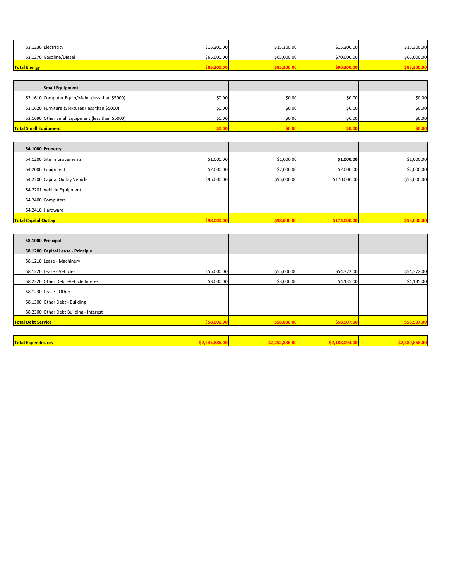| 53.1230 Electricity     | \$15,300.00 | \$15,300.00 | \$15,300.00 | \$15,300.00 |
|-------------------------|-------------|-------------|-------------|-------------|
| 53.1270 Gasoline/Diesel | \$65,000.00 | \$65,000.00 | \$70,000.00 | \$65,000.00 |
| <b>Total Energy</b>     | \$85.300.0  | 205 JAN     |             |             |

|                              | <b>Small Equipment</b>                           |              |        |              |        |
|------------------------------|--------------------------------------------------|--------------|--------|--------------|--------|
|                              | 53.1610 Computer Equip/Maint (less than \$5000)  | \$0.00       | \$0.00 | \$0.00       | \$0.00 |
|                              | 53.1620 Furniture & Fixtures (less than \$5000)  | \$0.00       | \$0.00 | \$0.00       | \$0.00 |
|                              | 53.1690 Other Small Equipment (less than \$5000) | \$0.00       | \$0.00 | \$0.00       | \$0.00 |
| <b>Total Small Equipment</b> |                                                  | <b>COLOR</b> | an na  | <b>SO OC</b> | \$0.00 |

|                             | 54.1000 Property               |             |             |              |             |
|-----------------------------|--------------------------------|-------------|-------------|--------------|-------------|
|                             | 54.1200 Site Improvements      | \$1,000.00  | \$1,000.00  | \$1,000.00   | \$1,000.00  |
|                             | 54.2000 Equipment              | \$2,000.00  | \$2,000.00  | \$2,000.00   | \$2,000.00  |
|                             | 54.2200 Capital Outlay Vehicle | \$95,000.00 | \$95,000.00 | \$170,000.00 | \$53,000.00 |
|                             | 54.2201 Vehicle Equipment      |             |             |              |             |
|                             | 54.2400 Computers              |             |             |              |             |
|                             | 54.2410 Hardware               |             |             |              |             |
| <b>Total Capital Outlay</b> |                                | \$98,000.00 | \$98,000.00 | \$173,000.00 | \$56,000.00 |

|                           | 58.1000 Principal                      |             |             |             |             |
|---------------------------|----------------------------------------|-------------|-------------|-------------|-------------|
|                           | 58.1200 Capital Lease - Principle      |             |             |             |             |
|                           | 58.1210 Lease - Machinery              |             |             |             |             |
|                           | 58.1220 Lease - Vehicles               | \$55,000.00 | \$55,000.00 | \$54,372.00 | \$54,372.00 |
|                           | 58.2220 Other Debt -Vehicle Interest   | \$3,000.00  | \$3,000.00  | \$4,135.00  | \$4,135.00  |
|                           | 58.1230 Lease - Other                  |             |             |             |             |
|                           | 58.1300 Other Debt - Building          |             |             |             |             |
|                           | 58.2300 Other Debt Building - Interest |             |             |             |             |
| <b>Total Debt Service</b> |                                        | \$58,000.00 | \$58,000.00 | \$58,507.00 | \$58,507.00 |

| <b>Total Expenditures</b> |  |  |
|---------------------------|--|--|
|                           |  |  |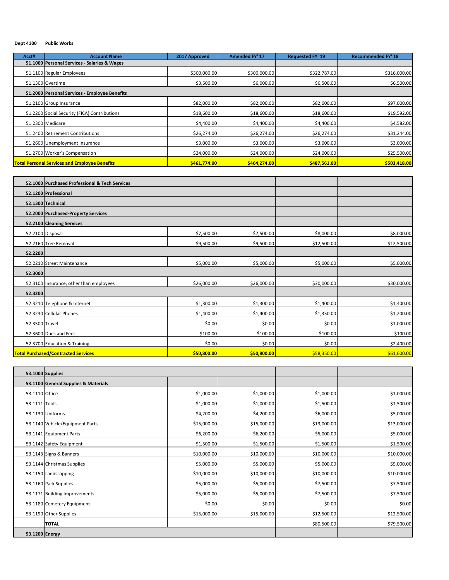#### **Dept 4100 Public Works**

| Acct# | <b>Account Name</b>                                  | 2017 Approved | <b>Amended FY' 17</b> | <b>Requested FY' 19</b> | <b>Recommended FY' 18</b> |
|-------|------------------------------------------------------|---------------|-----------------------|-------------------------|---------------------------|
|       | 51.1000 Personal Services - Salaries & Wages         |               |                       |                         |                           |
|       | 51.1100 Regular Employees                            | \$300,000.00  | \$300,000.00          | \$322,787.00            | \$316,000.00              |
|       | 51.1300 Overtime                                     | \$3,500.00    | \$6,000.00            | \$6,500.00              | \$6,500.00                |
|       | 51.2000 Personal Services - Employee Benefits        |               |                       |                         |                           |
|       | 51.2100 Group Insurance                              | \$82,000.00   | \$82,000.00           | \$82,000.00             | \$97,000.00               |
|       | 51.2200 Social Security (FICA) Contributions         | \$18,600.00   | \$18,600.00           | \$18,600.00             | \$19,592.00               |
|       | 51.2300 Medicare                                     | \$4,400.00    | \$4,400.00            | \$4,400.00              | \$4,582.00                |
|       | 51.2400 Retirement Contributions                     | \$26,274.00   | \$26,274.00           | \$26,274.00             | \$31,244.00               |
|       | 51.2600 Unemployment Insurance                       | \$3,000.00    | \$3,000.00            | \$3,000.00              | \$3,000.00                |
|       | 51.2700 Worker's Compensation                        | \$24,000.00   | \$24,000.00           | \$24,000.00             | \$25,500.00               |
|       | <b>Total Personal Services and Employee Benefits</b> | \$461,774,00  | \$464.274.00          | \$487.561.00            | \$503,418.00              |

|                | 52.1000 Purchased Professional & Tech Services |             |             |             |             |
|----------------|------------------------------------------------|-------------|-------------|-------------|-------------|
|                | 52.1200 Professional                           |             |             |             |             |
|                | 52.1300 Technical                              |             |             |             |             |
|                | 52.2000 Purchased-Property Services            |             |             |             |             |
|                | 52.2100 Cleaning Services                      |             |             |             |             |
|                | 52.2100 Disposal                               | \$7,500.00  | \$7,500.00  | \$8,000.00  | \$8,000.00  |
|                | 52.2160 Tree Removal                           | \$9,500.00  | \$9,500.00  | \$12,500.00 | \$12,500.00 |
| 52.2200        |                                                |             |             |             |             |
|                | 52.2210 Street Maintenance                     | \$5,000.00  | \$5,000.00  | \$5,000.00  | \$5,000.00  |
| 52.3000        |                                                |             |             |             |             |
|                | 52.3100 Insurance, other than employees        | \$26,000.00 | \$26,000.00 | \$30,000.00 | \$30,000.00 |
| 52.3200        |                                                |             |             |             |             |
|                | 52.3210 Telephone & Internet                   | \$1,300.00  | \$1,300.00  | \$1,400.00  | \$1,400.00  |
|                | 52.3230 Cellular Phones                        | \$1,400.00  | \$1,400.00  | \$1,350.00  | \$1,200.00  |
| 52.3500 Travel |                                                | \$0.00      | \$0.00      | \$0.00      | \$1,000.00  |
|                | 52.3600 Dues and Fees                          | \$100.00    | \$100.00    | \$100.00    | \$100.00    |
|                | 52.3700 Education & Training                   | \$0.00      | \$0.00      | \$0.00      | \$2,400.00  |
|                | <b>Total Purchased/Contracted Services</b>     | \$50,800.00 | \$50,800.00 | \$58,350.00 | \$61,600.00 |

|                | <b>53.1000 Supplies</b>              |             |             |             |             |
|----------------|--------------------------------------|-------------|-------------|-------------|-------------|
|                | 53.1100 General Supplies & Materials |             |             |             |             |
| 53.1110 Office |                                      | \$1,000.00  | \$1,000.00  | \$1,000.00  | \$1,000.00  |
| 53.1111 Tools  |                                      | \$1,000.00  | \$1,000.00  | \$1,500.00  | \$1,500.00  |
|                | 53.1130 Uniforms                     | \$4,200.00  | \$4,200.00  | \$6,000.00  | \$5,000.00  |
|                | 53.1140 Vehicle/Equipment Parts      | \$15,000.00 | \$15,000.00 | \$13,000.00 | \$13,000.00 |
|                | 53.1141 Equipment Parts              | \$6,200.00  | \$6,200.00  | \$5,000.00  | \$5,000.00  |
|                | 53.1142 Safety Equipment             | \$1,500.00  | \$1,500.00  | \$1,500.00  | \$1,500.00  |
|                | 53.1143 Signs & Banners              | \$10,000.00 | \$10,000.00 | \$10,000.00 | \$10,000.00 |
|                | 53.1144 Christmas Supplies           | \$5,000.00  | \$5,000.00  | \$5,000.00  | \$5,000.00  |
|                | 53.1150 Landscapping                 | \$10,000.00 | \$10,000.00 | \$10,000.00 | \$10,000.00 |
|                | 53.1160 Park Supplies                | \$5,000.00  | \$5,000.00  | \$7,500.00  | \$7,500.00  |
|                | 53.1171 Building Improvements        | \$5,000.00  | \$5,000.00  | \$7,500.00  | \$7,500.00  |
|                | 53.1180 Cemetery Equipment           | \$0.00      | \$0.00      | \$0.00      | \$0.00      |
|                | 53.1190 Other Supplies               | \$15,000.00 | \$15,000.00 | \$12,500.00 | \$12,500.00 |
|                | <b>TOTAL</b>                         |             |             | \$80,500.00 | \$79,500.00 |
| 53.1200 Energy |                                      |             |             |             |             |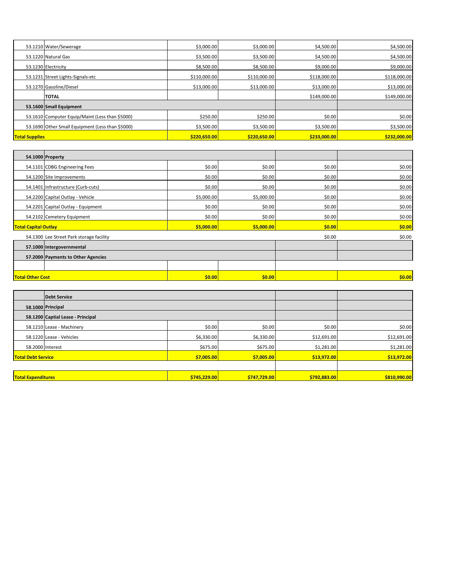|                       | 53.1210 Water/Sewerage                           | \$3,000.00   | \$3,000.00   | \$4,500.00   | \$4,500.00   |
|-----------------------|--------------------------------------------------|--------------|--------------|--------------|--------------|
|                       | 53.1220 Natural Gas                              | \$3,500.00   | \$3,500.00   | \$4,500.00   | \$4,500.00   |
|                       | 53.1230 Electricity                              | \$8,500.00   | \$8,500.00   | \$9,000.00   | \$9,000.00   |
|                       | 53.1231 Street Lights-Signals-etc                | \$110,000.00 | \$110,000.00 | \$118,000.00 | \$118,000.00 |
|                       | 53.1270 Gasoline/Diesel                          | \$13,000.00  | \$13,000.00  | \$13,000.00  | \$13,000.00  |
|                       | <b>TOTAL</b>                                     |              |              | \$149,000.00 | \$149,000.00 |
|                       | 53.1600 Small Equipment                          |              |              |              |              |
|                       | 53.1610 Computer Equip/Maint (Less than \$5000)  | \$250.00     | \$250.00     | \$0.00       | \$0.00       |
|                       | 53.1690 Other Small Equipment (Less than \$5000) | \$3,500.00   | \$3,500.00   | \$3,500.00   | \$3,500.00   |
| <b>Total Supplies</b> |                                                  | \$220,650.00 | \$220,650.00 | \$233,000.00 | \$232,000.00 |

|                                           | 54.1000 Property                         |            |            |                      |        |
|-------------------------------------------|------------------------------------------|------------|------------|----------------------|--------|
|                                           | 54.1101 CDBG Engineering Fees            | \$0.00     | \$0.00     | \$0.00               | \$0.00 |
|                                           | 54.1200 Site Improvements                | \$0.00     | \$0.00     | \$0.00               | \$0.00 |
|                                           | 54.1401 Infrastructure (Curb-cuts)       | \$0.00     | \$0.00     | \$0.00               | \$0.00 |
|                                           | 54.2200 Capital Outlay - Vehicle         | \$5,000.00 | \$5,000.00 | \$0.00               | \$0.00 |
|                                           | 54.2201 Capital Outlay - Equipment       | \$0.00     | \$0.00     | \$0.00               | \$0.00 |
|                                           | 54.2102 Cemetery Equipment               | \$0.00     | \$0.00     | \$0.00               | \$0.00 |
| <b>Total Capital Outlay</b><br>\$5,000.00 |                                          |            |            | \$0.00<br>\$5,000.00 | \$0.00 |
|                                           | 54.1300 Lee Street Park storage facility |            |            | \$0.00               | \$0.00 |
|                                           | 57.1000 Intergovernmental                |            |            |                      |        |
|                                           | 57.2000 Payments to Other Agencies       |            |            |                      |        |
|                                           |                                          |            |            |                      |        |
| <b>Total Other Cost</b>                   |                                          | \$0.00     | \$0.00     |                      |        |

|                                                       | Debt Service                      |              |              |              |              |
|-------------------------------------------------------|-----------------------------------|--------------|--------------|--------------|--------------|
|                                                       | 58.1000 Principal                 |              |              |              |              |
|                                                       | 58.1200 Captial Lease - Principal |              |              |              |              |
|                                                       | 58.1210 Lease - Machinery         | \$0.00       | \$0.00       | \$0.00       | \$0.00       |
|                                                       | 58.1220 Lease - Vehicles          | \$6,330.00   | \$6,330.00   | \$12,691.00  | \$12,691.00  |
|                                                       | 58.2000 Interest                  | \$675.00     | \$675.00     | \$1,281.00   | \$1,281.00   |
| \$7,005.00<br>\$7,005.00<br><b>Total Debt Service</b> |                                   |              | \$13,972.00  | \$13,972.00  |              |
|                                                       |                                   |              |              |              |              |
| <b>Total Expenditures</b>                             |                                   | \$745,229.00 | \$747,729.00 | \$792,883.00 | \$810,990.00 |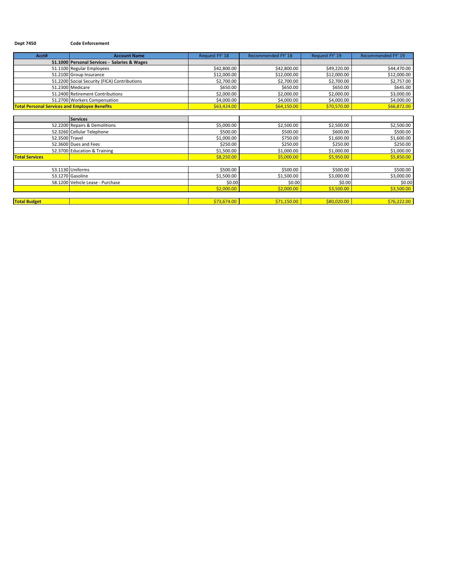### **Dept 7450 Code Enforcement**

| Acct#                                                | <b>Account Name</b>                          | Request FY' 18 | Recommended FY' 18 | Request FY' 19 | Recommended FY' 19 |
|------------------------------------------------------|----------------------------------------------|----------------|--------------------|----------------|--------------------|
|                                                      | 51.1000 Personal Services - Salaries & Wages |                |                    |                |                    |
|                                                      | 51.1100 Regular Employees                    | \$42,800.00    | \$42,800.00        | \$49,220.00    | \$44,470.00        |
|                                                      | 51.2100 Group Insurance                      | \$12,000.00    | \$12,000.00        | \$12,000.00    | \$12,000.00        |
|                                                      | 51.2200 Social Security (FICA) Contributions | \$2,700.00     | \$2,700.00         | \$2,700.00     | \$2,757.00         |
|                                                      | 51.2300 Medicare                             | \$650.00       | \$650.00           | \$650.00       | \$645.00           |
|                                                      | 51.2400 Retirement Contributions             | \$2,000.00     | \$2,000.00         | \$2,000.00     | \$3,000.00         |
|                                                      | 51.2700 Workers Compensation                 | \$4,000.00     | \$4,000.00         | \$4,000.00     | \$4,000.00         |
| <b>Total Personal Services and Employee Benefits</b> |                                              | \$63,424.00    | \$64,150.00        | \$70,570.00    | \$66,872.00        |
|                                                      |                                              |                |                    |                |                    |
|                                                      | <b>Services</b>                              |                |                    |                |                    |
|                                                      | 52.2200 Repairs & Demolitions                | \$5,000.00     | \$2,500.00         | \$2,500.00     | \$2,500.00         |
|                                                      | 52.3260 Cellular Telephone                   | \$500.00       | \$500.00           | \$600.00       | \$500.00           |
| 52.3500 Travel                                       |                                              | \$1,000.00     | \$750.00           | \$1,600.00     | \$1,600.00         |
|                                                      | 52.3600 Dues and Fees                        | \$250.00       | \$250.00           | \$250.00       | \$250.00           |
|                                                      | 52.3700 Education & Training                 | \$1,500.00     | \$1,000.00         | \$1,000.00     | \$1,000.00         |
| <b>Total Services</b>                                |                                              | \$8,250.00     | \$5,000.00         | \$5,950.00     | \$5,850.00         |
|                                                      |                                              |                |                    |                |                    |
|                                                      | 53.1130 Uniforms                             | \$500.00       | \$500.00           | \$500.00       | \$500.00           |
|                                                      | 53.1270 Gasoline                             | \$1,500.00     | \$1,500.00         | \$3,000.00     | \$3,000.00         |
|                                                      | 58.1200 Vehicle Lease - Purchase             | \$0.00         | \$0.00             | \$0.00         | \$0.00             |
|                                                      |                                              | \$2,000.00     | \$2,000.00         | \$3,500.00     | \$3,500.00         |
|                                                      |                                              |                |                    |                |                    |
| <b>Total Budget</b>                                  |                                              | \$73,674.00    | \$71,150.00        | \$80,020.00    | \$76,222.00        |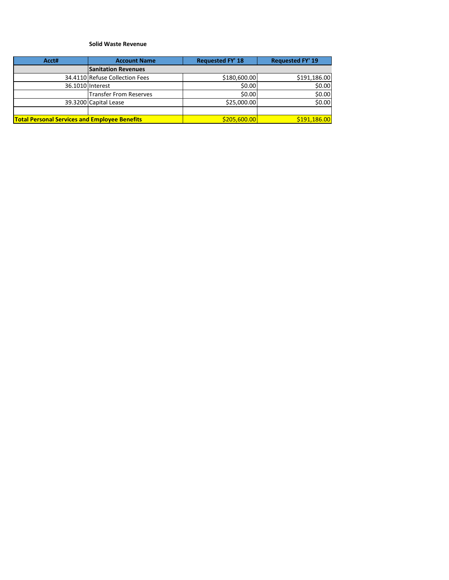#### **Solid Waste Revenue**

| Acct#                                                | <b>Account Name</b>            | <b>Requested FY' 18</b> | <b>Requested FY' 19</b> |
|------------------------------------------------------|--------------------------------|-------------------------|-------------------------|
|                                                      | <b>Sanitation Revenues</b>     |                         |                         |
|                                                      | 34.4110 Refuse Collection Fees | \$180,600.00            | \$191,186.00            |
|                                                      | 36.1010 Interest               | \$0.00                  | \$0.00                  |
|                                                      | <b>Transfer From Reserves</b>  | \$0.00                  | \$0.00                  |
|                                                      | 39.3200 Capital Lease          | \$25,000.00             | \$0.00                  |
|                                                      |                                |                         |                         |
| <b>Total Personal Services and Employee Benefits</b> |                                | \$205,600.00            | \$191,186.00            |